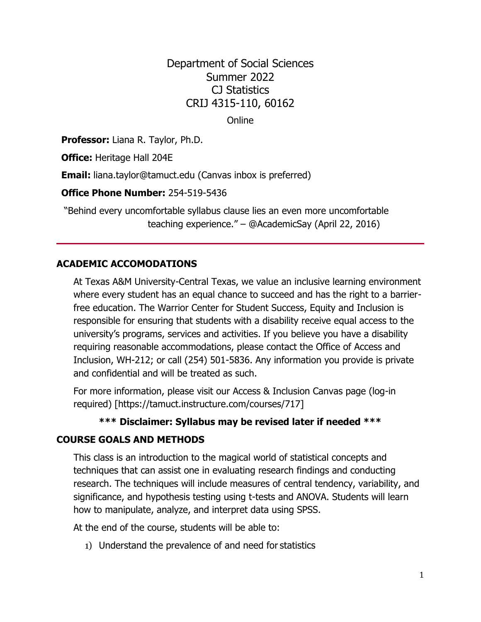Department of Social Sciences Summer 2022 CJ Statistics CRIJ 4315-110, 60162

**Online** 

**Professor:** Liana R. Taylor, Ph.D.

**Office:** Heritage Hall 204E

**Email:** [liana.taylor@tamuct.edu](mailto:liana.taylor@tamuct.edu) (Canvas inbox is preferred)

**Office Phone Number:** 254-519-5436

"Behind every uncomfortable syllabus clause lies an even more uncomfortable teaching experience." – @AcademicSay (April 22, 2016)

#### **ACADEMIC ACCOMODATIONS**

At Texas A&M University-Central Texas, we value an inclusive learning environment where every student has an equal chance to succeed and has the right to a barrierfree education. The Warrior Center for Student Success, Equity and Inclusion is responsible for ensuring that students with a disability receive equal access to the university's programs, services and activities. If you believe you have a disability requiring reasonable accommodations, please contact the Office of Access and Inclusion, WH-212; or call (254) 501-5836. Any information you provide is private and confidential and will be treated as such.

For more information, please visit our Access & Inclusion Canvas page (log-in required) [https://tamuct.instructure.com/courses/717]

#### **\*\*\* Disclaimer: Syllabus may be revised later if needed \*\*\***

#### **COURSE GOALS AND METHODS**

This class is an introduction to the magical world of statistical concepts and techniques that can assist one in evaluating research findings and conducting research. The techniques will include measures of central tendency, variability, and significance, and hypothesis testing using t-tests and ANOVA. Students will learn how to manipulate, analyze, and interpret data using SPSS.

At the end of the course, students will be able to:

1) Understand the prevalence of and need for statistics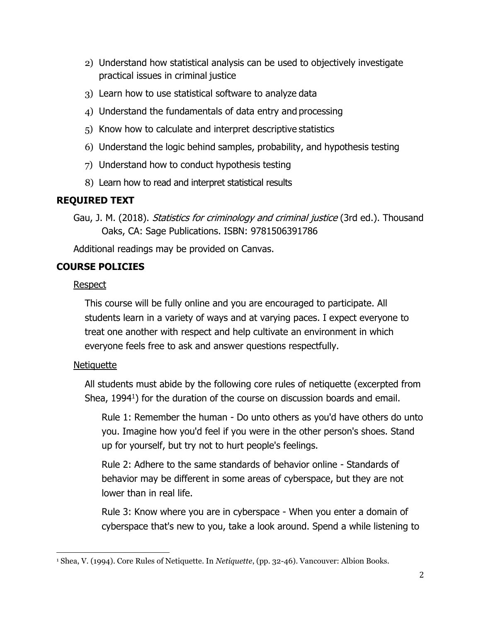- 2) Understand how statistical analysis can be used to objectively investigate practical issues in criminal justice
- 3) Learn how to use statistical software to analyze data
- 4) Understand the fundamentals of data entry and processing
- 5) Know how to calculate and interpret descriptive statistics
- 6) Understand the logic behind samples, probability, and hypothesis testing
- 7) Understand how to conduct hypothesis testing
- 8) Learn how to read and interpret statistical results

## **REQUIRED TEXT**

Gau, J. M. (2018). Statistics for criminology and criminal justice (3rd ed.). Thousand Oaks, CA: Sage Publications. ISBN: 9781506391786

Additional readings may be provided on Canvas.

## **COURSE POLICIES**

### **Respect**

This course will be fully online and you are encouraged to participate. All students learn in a variety of ways and at varying paces. I expect everyone to treat one another with respect and help cultivate an environment in which everyone feels free to ask and answer questions respectfully.

### **Netiquette**

All students must abide by the following core rules of netiquette (excerpted from Shea, 1994<sup>1</sup>) for the duration of the course on discussion boards and email.

Rule 1: Remember the human - Do unto others as you'd have others do unto you. Imagine how you'd feel if you were in the other person's shoes. Stand up for yourself, but try not to hurt people's feelings.

Rule 2: Adhere to the same standards of behavior online - Standards of behavior may be different in some areas of cyberspace, but they are not lower than in real life.

Rule 3: Know where you are in cyberspace - When you enter a domain of cyberspace that's new to you, take a look around. Spend a while listening to

<sup>1</sup> Shea, V. (1994). Core Rules of Netiquette. In *Netiquette*, (pp. 32-46). Vancouver: Albion Books.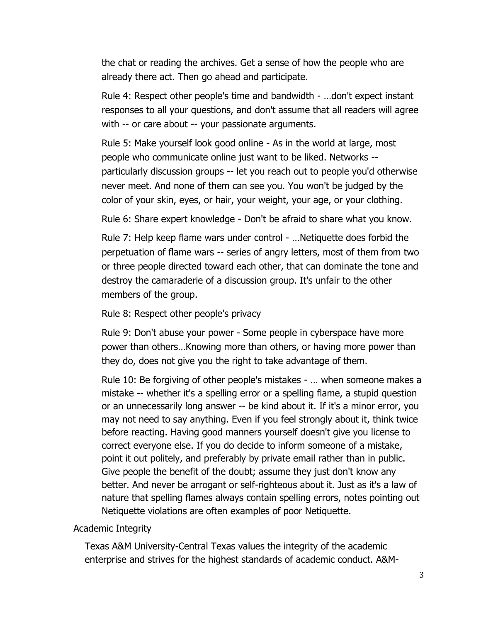the chat or reading the archives. Get a sense of how the people who are already there act. Then go ahead and participate.

Rule 4: Respect other people's time and bandwidth - …don't expect instant responses to all your questions, and don't assume that all readers will agree with -- or care about -- your passionate arguments.

Rule 5: Make yourself look good online - As in the world at large, most people who communicate online just want to be liked. Networks - particularly discussion groups -- let you reach out to people you'd otherwise never meet. And none of them can see you. You won't be judged by the color of your skin, eyes, or hair, your weight, your age, or your clothing.

Rule 6: Share expert knowledge - Don't be afraid to share what you know.

Rule 7: Help keep flame wars under control - …Netiquette does forbid the perpetuation of flame wars -- series of angry letters, most of them from two or three people directed toward each other, that can dominate the tone and destroy the camaraderie of a discussion group. It's unfair to the other members of the group.

Rule 8: Respect other people's privacy

Rule 9: Don't abuse your power - Some people in cyberspace have more power than others…Knowing more than others, or having more power than they do, does not give you the right to take advantage of them.

Rule 10: Be forgiving of other people's mistakes - … when someone makes a mistake -- whether it's a spelling error or a spelling flame, a stupid question or an unnecessarily long answer -- be kind about it. If it's a minor error, you may not need to say anything. Even if you feel strongly about it, think twice before reacting. Having good manners yourself doesn't give you license to correct everyone else. If you do decide to inform someone of a mistake, point it out politely, and preferably by private email rather than in public. Give people the benefit of the doubt; assume they just don't know any better. And never be arrogant or self-righteous about it. Just as it's a law of nature that spelling flames always contain spelling errors, notes pointing out Netiquette violations are often examples of poor Netiquette.

### Academic Integrity

Texas A&M University-Central Texas values the integrity of the academic enterprise and strives for the highest standards of academic conduct. A&M-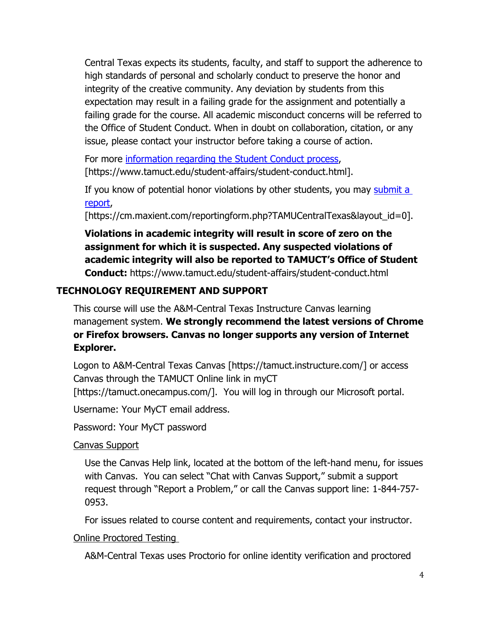Central Texas expects its students, faculty, and staff to support the adherence to high standards of personal and scholarly conduct to preserve the honor and integrity of the creative community. Any deviation by students from this expectation may result in a failing grade for the assignment and potentially a failing grade for the course. All academic misconduct concerns will be referred to the Office of Student Conduct. When in doubt on collaboration, citation, or any issue, please contact your instructor before taking a course of action.

For more [information](https://nam04.safelinks.protection.outlook.com/?url=https%3A%2F%2Fwww.tamuct.edu%2Fstudent-affairs%2Fstudent-conduct.html&data=04%7C01%7Clisa.bunkowski%40tamuct.edu%7Ccfb6e486f24745f53e1a08d910055cb2%7C9eed4e3000f744849ff193ad8005acec%7C0%7C0%7C637558437485252160%7CUnknown%7CTWFpbGZsb3d8eyJWIjoiMC4wLjAwMDAiLCJQIjoiV2luMzIiLCJBTiI6Ik1haWwiLCJXVCI6Mn0%3D%7C1000&sdata=yjftDEVHvLX%2FhM%2FcFU0B99krV1RgEWR%2BJ%2BhvtoR6TYk%3D&reserved=0) regarding the Student Conduct process, [https://www.tamuct.edu/student-affairs/student-conduct.html].

If you know of potential honor violations by other students, you may [submit](https://nam04.safelinks.protection.outlook.com/?url=https%3A%2F%2Fcm.maxient.com%2Freportingform.php%3FTAMUCentralTexas%26layout_id%3D0&data=04%7C01%7Clisa.bunkowski%40tamuct.edu%7Ccfb6e486f24745f53e1a08d910055cb2%7C9eed4e3000f744849ff193ad8005acec%7C0%7C0%7C637558437485262157%7CUnknown%7CTWFpbGZsb3d8eyJWIjoiMC4wLjAwMDAiLCJQIjoiV2luMzIiLCJBTiI6Ik1haWwiLCJXVCI6Mn0%3D%7C1000&sdata=CXGkOa6uPDPX1IMZ87z3aZDq2n91xfHKu4MMS43Ejjk%3D&reserved=0) a [report,](https://nam04.safelinks.protection.outlook.com/?url=https%3A%2F%2Fcm.maxient.com%2Freportingform.php%3FTAMUCentralTexas%26layout_id%3D0&data=04%7C01%7Clisa.bunkowski%40tamuct.edu%7Ccfb6e486f24745f53e1a08d910055cb2%7C9eed4e3000f744849ff193ad8005acec%7C0%7C0%7C637558437485262157%7CUnknown%7CTWFpbGZsb3d8eyJWIjoiMC4wLjAwMDAiLCJQIjoiV2luMzIiLCJBTiI6Ik1haWwiLCJXVCI6Mn0%3D%7C1000&sdata=CXGkOa6uPDPX1IMZ87z3aZDq2n91xfHKu4MMS43Ejjk%3D&reserved=0)

[https://cm.maxient.com/reportingform.php?TAMUCentralTexas&layout\_id=0].

**Violations in academic integrity will result in score of zero on the assignment for which it is suspected. Any suspected violations of academic integrity will also be reported to TAMUCT's Office of Student Conduct:** https://www.tamuct.edu/student-affairs/student-conduct.html

# **TECHNOLOGY REQUIREMENT AND SUPPORT**

This course will use the A&M-Central Texas Instructure Canvas learning management system. **We strongly recommend the latest versions of Chrome or Firefox browsers. Canvas no longer supports any version of Internet Explorer.**

Logon to A&M-Central Texas Canvas [https://tamuct.instructure.com/] or access Canvas through the TAMUCT Online link in myCT [https://tamuct.onecampus.com/]. You will log in through our Microsoft portal.

Username: Your MyCT email address.

Password: Your MyCT password

# Canvas Support

Use the Canvas Help link, located at the bottom of the left-hand menu, for issues with Canvas. You can select "Chat with Canvas Support," submit a support request through "Report a Problem," or call the Canvas support line: 1-844-757- 0953.

For issues related to course content and requirements, contact your instructor.

## Online Proctored Testing

A&M-Central Texas uses Proctorio for online identity verification and proctored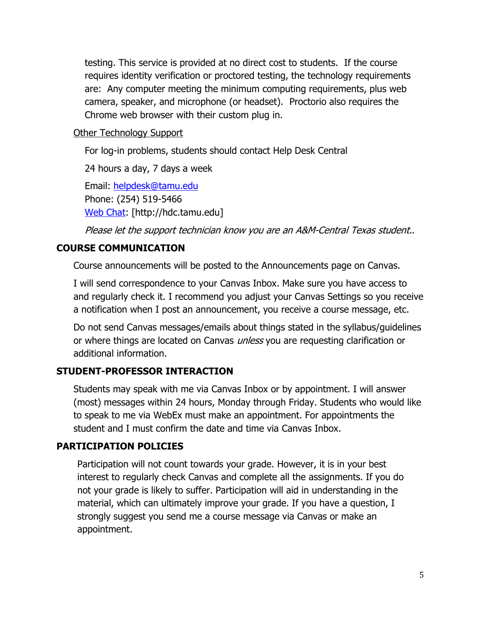testing. This service is provided at no direct cost to students. If the course requires identity verification or proctored testing, the technology requirements are: Any computer meeting the minimum computing requirements, plus web camera, speaker, and microphone (or headset). Proctorio also requires the Chrome web browser with their custom plug in.

### **Other Technology Support**

For log-in problems, students should contact Help Desk Central

24 hours a day, 7 days a week

Email: [helpdesk@tamu.edu](mailto:helpdesk@tamu.edu) Phone: (254) 519-5466 [Web Chat:](http://hdc.tamu.edu/) [http://hdc.tamu.edu]

Please let the support technician know you are an A&M-Central Texas student..

# **COURSE COMMUNICATION**

Course announcements will be posted to the Announcements page on Canvas.

I will send correspondence to your Canvas Inbox. Make sure you have access to and regularly check it. I recommend you adjust your Canvas Settings so you receive a notification when I post an announcement, you receive a course message, etc.

Do not send Canvas messages/emails about things stated in the syllabus/guidelines or where things are located on Canvas *unless* you are requesting clarification or additional information.

# **STUDENT-PROFESSOR INTERACTION**

Students may speak with me via Canvas Inbox or by appointment. I will answer (most) messages within 24 hours, Monday through Friday. Students who would like to speak to me via WebEx must make an appointment. For appointments the student and I must confirm the date and time via Canvas Inbox.

## **PARTICIPATION POLICIES**

Participation will not count towards your grade. However, it is in your best interest to regularly check Canvas and complete all the assignments. If you do not your grade is likely to suffer. Participation will aid in understanding in the material, which can ultimately improve your grade. If you have a question, I strongly suggest you send me a course message via Canvas or make an appointment.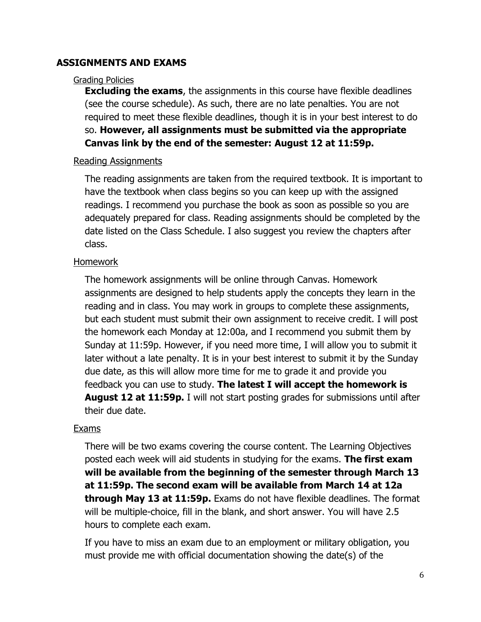### **ASSIGNMENTS AND EXAMS**

#### Grading Policies

**Excluding the exams**, the assignments in this course have flexible deadlines (see the course schedule). As such, there are no late penalties. You are not required to meet these flexible deadlines, though it is in your best interest to do so. **However, all assignments must be submitted via the appropriate Canvas link by the end of the semester: August 12 at 11:59p.**

#### Reading Assignments

The reading assignments are taken from the required textbook. It is important to have the textbook when class begins so you can keep up with the assigned readings. I recommend you purchase the book as soon as possible so you are adequately prepared for class. Reading assignments should be completed by the date listed on the Class Schedule. I also suggest you review the chapters after class.

#### Homework

The homework assignments will be online through Canvas. Homework assignments are designed to help students apply the concepts they learn in the reading and in class. You may work in groups to complete these assignments, but each student must submit their own assignment to receive credit. I will post the homework each Monday at 12:00a, and I recommend you submit them by Sunday at 11:59p. However, if you need more time, I will allow you to submit it later without a late penalty. It is in your best interest to submit it by the Sunday due date, as this will allow more time for me to grade it and provide you feedback you can use to study. **The latest I will accept the homework is August 12 at 11:59p.** I will not start posting grades for submissions until after their due date.

#### Exams

There will be two exams covering the course content. The Learning Objectives posted each week will aid students in studying for the exams. **The first exam will be available from the beginning of the semester through March 13 at 11:59p. The second exam will be available from March 14 at 12a through May 13 at 11:59p.** Exams do not have flexible deadlines. The format will be multiple-choice, fill in the blank, and short answer. You will have 2.5 hours to complete each exam.

If you have to miss an exam due to an employment or military obligation, you must provide me with official documentation showing the date(s) of the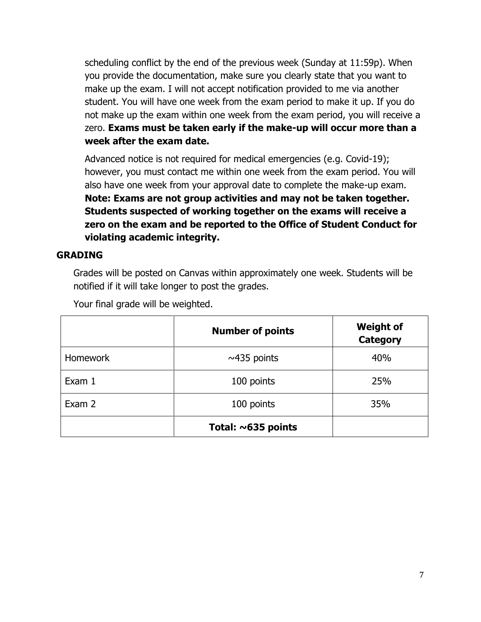scheduling conflict by the end of the previous week (Sunday at 11:59p). When you provide the documentation, make sure you clearly state that you want to make up the exam. I will not accept notification provided to me via another student. You will have one week from the exam period to make it up. If you do not make up the exam within one week from the exam period, you will receive a zero. **Exams must be taken early if the make-up will occur more than a week after the exam date.**

Advanced notice is not required for medical emergencies (e.g. Covid-19); however, you must contact me within one week from the exam period. You will also have one week from your approval date to complete the make-up exam. **Note: Exams are not group activities and may not be taken together. Students suspected of working together on the exams will receive a zero on the exam and be reported to the Office of Student Conduct for violating academic integrity.**

### **GRADING**

Grades will be posted on Canvas within approximately one week. Students will be notified if it will take longer to post the grades.

|                 | <b>Number of points</b>  | <b>Weight of</b><br><b>Category</b> |
|-----------------|--------------------------|-------------------------------------|
| <b>Homework</b> | $~\sim$ 435 points       | 40%                                 |
| Exam 1          | 100 points               | 25%                                 |
| Exam 2          | 100 points               | 35%                                 |
|                 | Total: $\sim$ 635 points |                                     |

Your final grade will be weighted.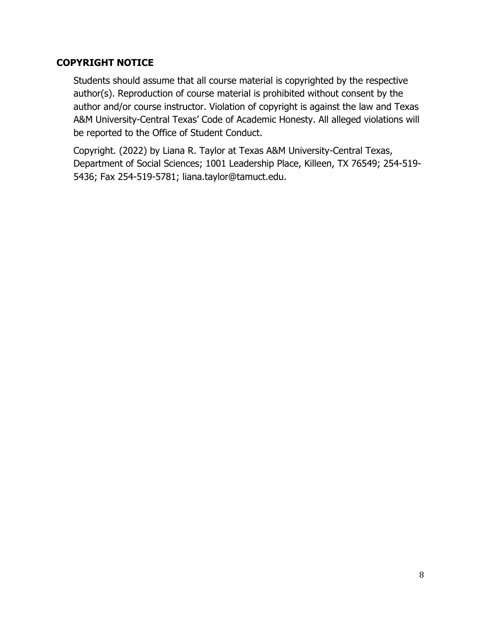## **COPYRIGHT NOTICE**

Students should assume that all course material is copyrighted by the respective author(s). Reproduction of course material is prohibited without consent by the author and/or course instructor. Violation of copyright is against the law and Texas A&M University-Central Texas' Code of Academic Honesty. All alleged violations will be reported to the Office of Student Conduct.

Copyright. (2022) by Liana R. Taylor at Texas A&M University-Central Texas, Department of Social Sciences; 1001 Leadership Place, Killeen, TX 76549; 254-519- 5436; Fax 254-519-5781; [liana.taylor@tamuct.edu.](mailto:liana.taylor@tamuct.edu)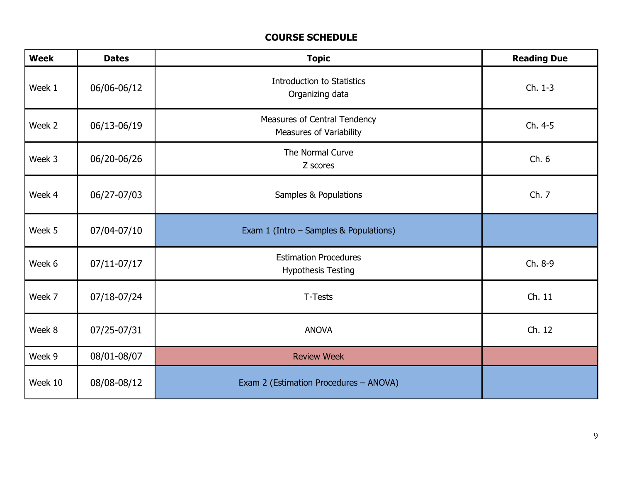# **COURSE SCHEDULE**

| <b>Week</b> | <b>Dates</b> | <b>Topic</b>                                                   | <b>Reading Due</b> |
|-------------|--------------|----------------------------------------------------------------|--------------------|
| Week 1      | 06/06-06/12  | <b>Introduction to Statistics</b><br>Organizing data           | Ch. 1-3            |
| Week 2      | 06/13-06/19  | <b>Measures of Central Tendency</b><br>Measures of Variability | Ch. 4-5            |
| Week 3      | 06/20-06/26  | The Normal Curve<br>Z scores                                   | Ch.6               |
| Week 4      | 06/27-07/03  | Samples & Populations                                          | Ch. 7              |
| Week 5      | 07/04-07/10  | Exam 1 (Intro - Samples & Populations)                         |                    |
| Week 6      | 07/11-07/17  | <b>Estimation Procedures</b><br><b>Hypothesis Testing</b>      | Ch. 8-9            |
| Week 7      | 07/18-07/24  | T-Tests                                                        | Ch. 11             |
| Week 8      | 07/25-07/31  | <b>ANOVA</b>                                                   | Ch. 12             |
| Week 9      | 08/01-08/07  | <b>Review Week</b>                                             |                    |
| Week 10     | 08/08-08/12  | Exam 2 (Estimation Procedures - ANOVA)                         |                    |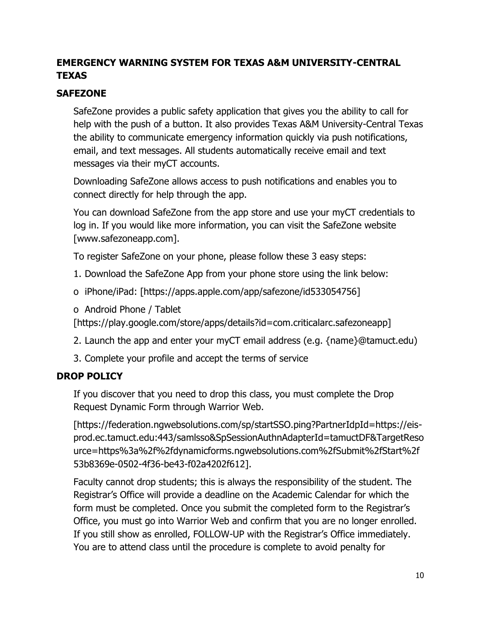# **EMERGENCY WARNING SYSTEM FOR TEXAS A&M UNIVERSITY-CENTRAL TEXAS**

# **SAFEZONE**

SafeZone provides a public safety application that gives you the ability to call for help with the push of a button. It also provides Texas A&M University-Central Texas the ability to communicate emergency information quickly via push notifications, email, and text messages. All students automatically receive email and text messages via their myCT accounts.

Downloading SafeZone allows access to push notifications and enables you to connect directly for help through the app.

You can download SafeZone from the app store and use your myCT credentials to log in. If you would like more information, you can visit the SafeZone website [www.safezoneapp.com].

To register SafeZone on your phone, please follow these 3 easy steps:

- 1. Download the SafeZone App from your phone store using the link below:
- o iPhone/iPad: [https://apps.apple.com/app/safezone/id533054756]
- o Android Phone / Tablet

[https://play.google.com/store/apps/details?id=com.criticalarc.safezoneapp]

- 2. Launch the app and enter your myCT email address (e.g. {name}@tamuct.edu)
- 3. Complete your profile and accept the terms of service

## **DROP POLICY**

If you discover that you need to drop this class, you must complete the Drop Request Dynamic Form through Warrior Web.

[https://federation.ngwebsolutions.com/sp/startSSO.ping?PartnerIdpId=https://eisprod.ec.tamuct.edu:443/samlsso&SpSessionAuthnAdapterId=tamuctDF&TargetReso urce=https%3a%2f%2fdynamicforms.ngwebsolutions.com%2fSubmit%2fStart%2f 53b8369e-0502-4f36-be43-f02a4202f612].

Faculty cannot drop students; this is always the responsibility of the student. The Registrar's Office will provide a deadline on the Academic Calendar for which the form must be completed. Once you submit the completed form to the Registrar's Office, you must go into Warrior Web and confirm that you are no longer enrolled. If you still show as enrolled, FOLLOW-UP with the Registrar's Office immediately. You are to attend class until the procedure is complete to avoid penalty for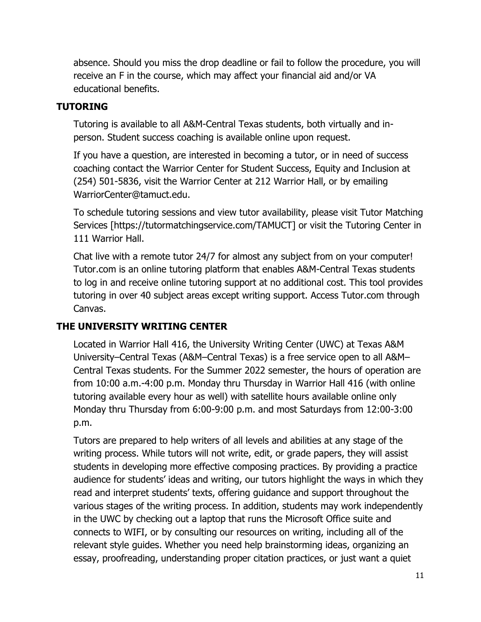absence. Should you miss the drop deadline or fail to follow the procedure, you will receive an F in the course, which may affect your financial aid and/or VA educational benefits.

# **TUTORING**

Tutoring is available to all A&M-Central Texas students, both virtually and inperson. Student success coaching is available online upon request.

If you have a question, are interested in becoming a tutor, or in need of success coaching contact the Warrior Center for Student Success, Equity and Inclusion at (254) 501-5836, visit the Warrior Center at 212 Warrior Hall, or by emailing WarriorCenter@tamuct.edu.

To schedule tutoring sessions and view tutor availability, please visit Tutor Matching Services [https://tutormatchingservice.com/TAMUCT] or visit the Tutoring Center in 111 Warrior Hall.

Chat live with a remote tutor 24/7 for almost any subject from on your computer! Tutor.com is an online tutoring platform that enables A&M-Central Texas students to log in and receive online tutoring support at no additional cost. This tool provides tutoring in over 40 subject areas except writing support. Access Tutor.com through Canvas.

## **THE UNIVERSITY WRITING CENTER**

Located in Warrior Hall 416, the University Writing Center (UWC) at Texas A&M University–Central Texas (A&M–Central Texas) is a free service open to all A&M– Central Texas students. For the Summer 2022 semester, the hours of operation are from 10:00 a.m.-4:00 p.m. Monday thru Thursday in Warrior Hall 416 (with online tutoring available every hour as well) with satellite hours available online only Monday thru Thursday from 6:00-9:00 p.m. and most Saturdays from 12:00-3:00 p.m.

Tutors are prepared to help writers of all levels and abilities at any stage of the writing process. While tutors will not write, edit, or grade papers, they will assist students in developing more effective composing practices. By providing a practice audience for students' ideas and writing, our tutors highlight the ways in which they read and interpret students' texts, offering guidance and support throughout the various stages of the writing process. In addition, students may work independently in the UWC by checking out a laptop that runs the Microsoft Office suite and connects to WIFI, or by consulting our resources on writing, including all of the relevant style guides. Whether you need help brainstorming ideas, organizing an essay, proofreading, understanding proper citation practices, or just want a quiet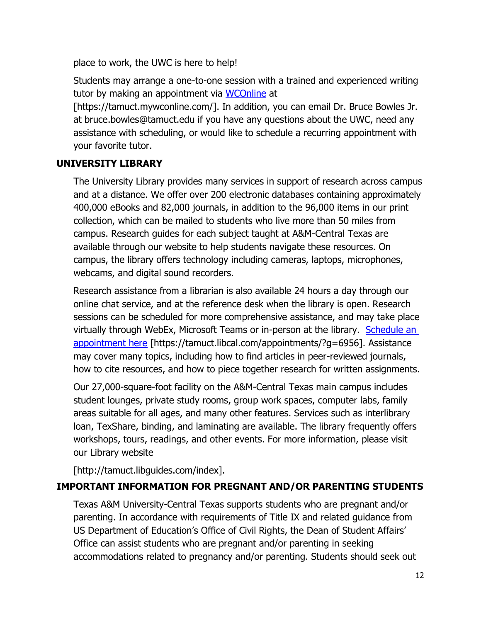place to work, the UWC is here to help!

Students may arrange a one-to-one session with a trained and experienced writing tutor by making an appointment via [WCOnline](https://tamuct.mywconline.com/) at

[https://tamuct.mywconline.com/]. In addition, you can email Dr. Bruce Bowles Jr. at bruce.bowles@tamuct.edu if you have any questions about the UWC, need any assistance with scheduling, or would like to schedule a recurring appointment with your favorite tutor.

# **UNIVERSITY LIBRARY**

The University Library provides many services in support of research across campus and at a distance. We offer over 200 electronic databases containing approximately 400,000 eBooks and 82,000 journals, in addition to the 96,000 items in our print collection, which can be mailed to students who live more than 50 miles from campus. Research guides for each subject taught at A&M-Central Texas are available through our website to help students navigate these resources. On campus, the library offers technology including cameras, laptops, microphones, webcams, and digital sound recorders.

Research assistance from a librarian is also available 24 hours a day through our online chat service, and at the reference desk when the library is open. Research sessions can be scheduled for more comprehensive assistance, and may take place virtually through WebEx, Microsoft Teams or in-person at the library. [Schedule an](https://tamuct.libcal.com/appointments/?g=6956)  [appointment here](https://tamuct.libcal.com/appointments/?g=6956) [https://tamuct.libcal.com/appointments/?g=6956]. Assistance may cover many topics, including how to find articles in peer-reviewed journals, how to cite resources, and how to piece together research for written assignments.

Our 27,000-square-foot facility on the A&M-Central Texas main campus includes student lounges, private study rooms, group work spaces, computer labs, family areas suitable for all ages, and many other features. Services such as interlibrary loan, TexShare, binding, and laminating are available. The library frequently offers workshops, tours, readings, and other events. For more information, please visit our Library website

[http://tamuct.libguides.com/index].

## **IMPORTANT INFORMATION FOR PREGNANT AND/OR PARENTING STUDENTS**

Texas A&M University-Central Texas supports students who are pregnant and/or parenting. In accordance with requirements of Title IX and related guidance from US Department of Education's Office of Civil Rights, the Dean of Student Affairs' Office can assist students who are pregnant and/or parenting in seeking accommodations related to pregnancy and/or parenting. Students should seek out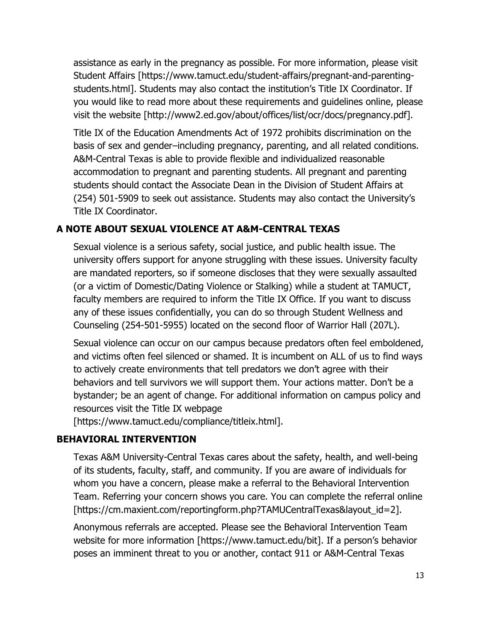assistance as early in the pregnancy as possible. For more information, please visit Student Affairs [https://www.tamuct.edu/student-affairs/pregnant-and-parentingstudents.html]. Students may also contact the institution's Title IX Coordinator. If you would like to read more about these requirements and guidelines online, please visit the website [http://www2.ed.gov/about/offices/list/ocr/docs/pregnancy.pdf].

Title IX of the Education Amendments Act of 1972 prohibits discrimination on the basis of sex and gender–including pregnancy, parenting, and all related conditions. A&M-Central Texas is able to provide flexible and individualized reasonable accommodation to pregnant and parenting students. All pregnant and parenting students should contact the Associate Dean in the Division of Student Affairs at (254) 501-5909 to seek out assistance. Students may also contact the University's Title IX Coordinator.

## **A NOTE ABOUT SEXUAL VIOLENCE AT A&M-CENTRAL TEXAS**

Sexual violence is a serious safety, social justice, and public health issue. The university offers support for anyone struggling with these issues. University faculty are mandated reporters, so if someone discloses that they were sexually assaulted (or a victim of Domestic/Dating Violence or Stalking) while a student at TAMUCT, faculty members are required to inform the Title IX Office. If you want to discuss any of these issues confidentially, you can do so through Student Wellness and Counseling (254-501-5955) located on the second floor of Warrior Hall (207L).

Sexual violence can occur on our campus because predators often feel emboldened, and victims often feel silenced or shamed. It is incumbent on ALL of us to find ways to actively create environments that tell predators we don't agree with their behaviors and tell survivors we will support them. Your actions matter. Don't be a bystander; be an agent of change. For additional information on campus policy and resources visit the Title IX webpage

[https://www.tamuct.edu/compliance/titleix.html].

## **BEHAVIORAL INTERVENTION**

Texas A&M University-Central Texas cares about the safety, health, and well-being of its students, faculty, staff, and community. If you are aware of individuals for whom you have a concern, please make a referral to the Behavioral Intervention Team. Referring your concern shows you care. You can complete the referral online [https://cm.maxient.com/reportingform.php?TAMUCentralTexas&layout\_id=2].

Anonymous referrals are accepted. Please see the Behavioral Intervention Team website for more information [https://www.tamuct.edu/bit]. If a person's behavior poses an imminent threat to you or another, contact 911 or A&M-Central Texas